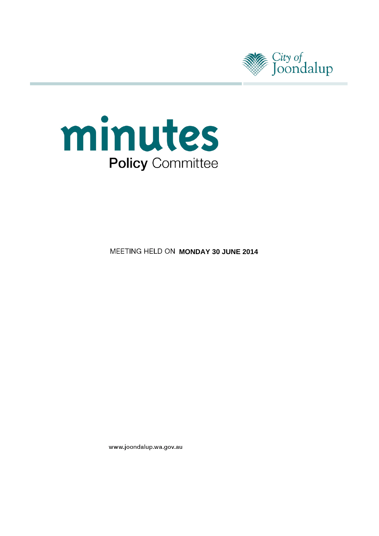



**MEETING HELD ON MONDAY 30 JUNE 2014** 

www.joondalup.wa.gov.au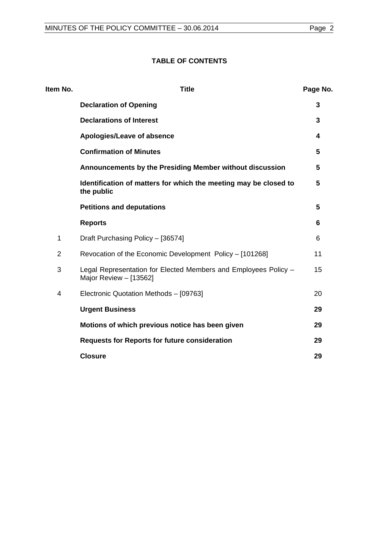# **TABLE OF CONTENTS**

| Item No.       | <b>Title</b>                                                                              | Page No. |
|----------------|-------------------------------------------------------------------------------------------|----------|
|                | <b>Declaration of Opening</b>                                                             | 3        |
|                | <b>Declarations of Interest</b>                                                           | 3        |
|                | Apologies/Leave of absence                                                                | 4        |
|                | <b>Confirmation of Minutes</b>                                                            | 5        |
|                | Announcements by the Presiding Member without discussion                                  | 5        |
|                | Identification of matters for which the meeting may be closed to<br>the public            | 5        |
|                | <b>Petitions and deputations</b>                                                          | 5        |
|                | <b>Reports</b>                                                                            | 6        |
| 1              | Draft Purchasing Policy - [36574]                                                         | 6        |
| $\overline{2}$ | Revocation of the Economic Development Policy - [101268]                                  | 11       |
| 3              | Legal Representation for Elected Members and Employees Policy -<br>Major Review - [13562] | 15       |
| 4              | Electronic Quotation Methods - [09763]                                                    | 20       |
|                | <b>Urgent Business</b>                                                                    | 29       |
|                | Motions of which previous notice has been given                                           | 29       |
|                | <b>Requests for Reports for future consideration</b>                                      | 29       |
|                | <b>Closure</b>                                                                            | 29       |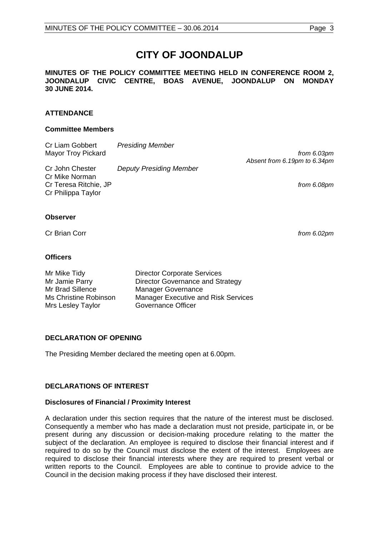# **CITY OF JOONDALUP**

**MINUTES OF THE POLICY COMMITTEE MEETING HELD IN CONFERENCE ROOM 2, JOONDALUP CIVIC CENTRE, BOAS AVENUE, JOONDALUP ON MONDAY 30 JUNE 2014.**

# **ATTENDANCE**

#### **Committee Members**

| Cr Liam Gobbert<br>Mayor Troy Pickard | <b>Presiding Member</b>        | from 6.03pm                  |
|---------------------------------------|--------------------------------|------------------------------|
|                                       |                                | Absent from 6.19pm to 6.34pm |
| Cr John Chester                       | <b>Deputy Presiding Member</b> |                              |
| Cr Mike Norman                        |                                |                              |
| Cr Teresa Ritchie, JP                 |                                | from 6.08pm                  |
| Cr Philippa Taylor                    |                                |                              |
|                                       |                                |                              |

# **Observer**

Cr Brian Corr *from 6.02pm*

#### **Officers**

| Mr Mike Tidy          | <b>Director Corporate Services</b>         |
|-----------------------|--------------------------------------------|
| Mr Jamie Parry        | Director Governance and Strategy           |
| Mr Brad Sillence      | <b>Manager Governance</b>                  |
| Ms Christine Robinson | <b>Manager Executive and Risk Services</b> |
| Mrs Lesley Taylor     | Governance Officer                         |

# <span id="page-2-0"></span>**DECLARATION OF OPENING**

The Presiding Member declared the meeting open at 6.00pm.

# <span id="page-2-1"></span>**DECLARATIONS OF INTEREST**

# **Disclosures of Financial / Proximity Interest**

A declaration under this section requires that the nature of the interest must be disclosed. Consequently a member who has made a declaration must not preside, participate in, or be present during any discussion or decision-making procedure relating to the matter the subject of the declaration. An employee is required to disclose their financial interest and if required to do so by the Council must disclose the extent of the interest. Employees are required to disclose their financial interests where they are required to present verbal or written reports to the Council. Employees are able to continue to provide advice to the Council in the decision making process if they have disclosed their interest.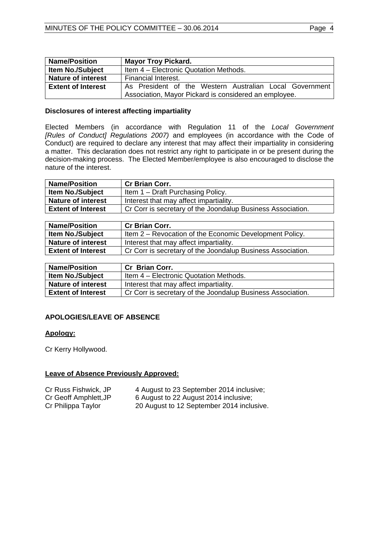| <b>Name/Position</b>      | <b>Mayor Troy Pickard.</b>                              |  |
|---------------------------|---------------------------------------------------------|--|
| <b>Item No./Subject</b>   | Item 4 - Electronic Quotation Methods.                  |  |
| <b>Nature of interest</b> | <b>Financial Interest.</b>                              |  |
| <b>Extent of Interest</b> | As President of the Western Australian Local Government |  |
|                           | Association, Mayor Pickard is considered an employee.   |  |

# **Disclosures of interest affecting impartiality**

Elected Members (in accordance with Regulation 11 of the *Local Government [Rules of Conduct] Regulations 2007)* and employees (in accordance with the Code of Conduct) are required to declare any interest that may affect their impartiality in considering a matter. This declaration does not restrict any right to participate in or be present during the decision-making process. The Elected Member/employee is also encouraged to disclose the nature of the interest.

| <b>Name/Position</b>      | <b>Cr Brian Corr.</b>                                       |
|---------------------------|-------------------------------------------------------------|
| <b>Item No./Subject</b>   | Item 1 – Draft Purchasing Policy.                           |
| <b>Nature of interest</b> | Interest that may affect impartiality.                      |
| <b>Extent of Interest</b> | Cr Corr is secretary of the Joondalup Business Association. |

| <b>Name/Position</b>      | <b>Cr Brian Corr.</b>                                       |
|---------------------------|-------------------------------------------------------------|
| <b>Item No./Subject</b>   | Item 2 – Revocation of the Economic Development Policy.     |
| <b>Nature of interest</b> | Interest that may affect impartiality.                      |
| <b>Extent of Interest</b> | Cr Corr is secretary of the Joondalup Business Association. |

| <b>Name/Position</b>      | <b>Cr Brian Corr.</b>                                       |
|---------------------------|-------------------------------------------------------------|
| <b>Item No./Subject</b>   | Item 4 – Electronic Quotation Methods.                      |
| <b>Nature of interest</b> | Interest that may affect impartiality.                      |
| <b>Extent of Interest</b> | Cr Corr is secretary of the Joondalup Business Association. |

# <span id="page-3-0"></span>**APOLOGIES/LEAVE OF ABSENCE**

# **Apology:**

Cr Kerry Hollywood.

# **Leave of Absence Previously Approved:**

| Cr Russ Fishwick, JP  | 4 August to 23 September 2014 inclusive;  |
|-----------------------|-------------------------------------------|
| Cr Geoff Amphlett, JP | 6 August to 22 August 2014 inclusive;     |
| Cr Philippa Taylor    | 20 August to 12 September 2014 inclusive. |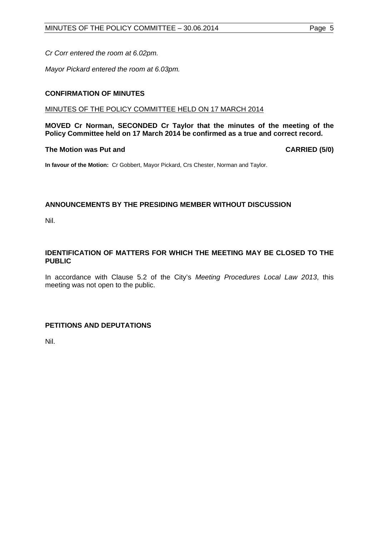*Cr Corr entered the room at 6.02pm.*

*Mayor Pickard entered the room at 6.03pm.*

# <span id="page-4-0"></span>**CONFIRMATION OF MINUTES**

#### MINUTES OF THE POLICY COMMITTEE HELD ON 17 MARCH 2014

**MOVED Cr Norman, SECONDED Cr Taylor that the minutes of the meeting of the Policy Committee held on 17 March 2014 be confirmed as a true and correct record.**

#### **The Motion was Put and CARRIED (5/0)**

**In favour of the Motion:** Cr Gobbert, Mayor Pickard, Crs Chester, Norman and Taylor.

# <span id="page-4-1"></span>**ANNOUNCEMENTS BY THE PRESIDING MEMBER WITHOUT DISCUSSION**

Nil.

# <span id="page-4-2"></span>**IDENTIFICATION OF MATTERS FOR WHICH THE MEETING MAY BE CLOSED TO THE PUBLIC**

In accordance with Clause 5.2 of the City's *Meeting Procedures Local Law 2013*, this meeting was not open to the public.

# <span id="page-4-3"></span>**PETITIONS AND DEPUTATIONS**

Nil.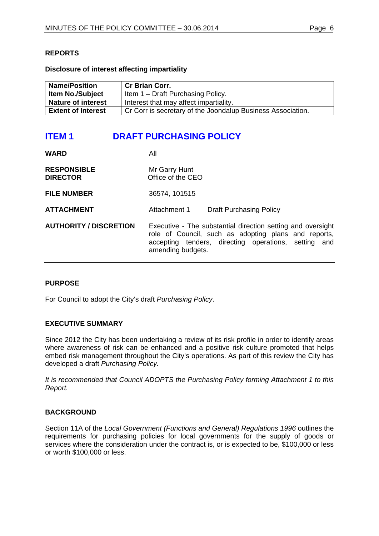# <span id="page-5-0"></span>**REPORTS**

#### **Disclosure of interest affecting impartiality**

| <b>Name/Position</b>                                                | <b>Cr Brian Corr.</b>                                       |  |
|---------------------------------------------------------------------|-------------------------------------------------------------|--|
| <b>Item No./Subject</b>                                             | Item 1 – Draft Purchasing Policy.                           |  |
| <b>Nature of interest</b><br>Interest that may affect impartiality. |                                                             |  |
| <b>Extent of Interest</b>                                           | Cr Corr is secretary of the Joondalup Business Association. |  |

# <span id="page-5-1"></span>**ITEM 1 DRAFT PURCHASING POLICY**

| <b>WARD</b>                           | Αll                                                                                                                                                                                              |
|---------------------------------------|--------------------------------------------------------------------------------------------------------------------------------------------------------------------------------------------------|
| <b>RESPONSIBLE</b><br><b>DIRECTOR</b> | Mr Garry Hunt<br>Office of the CEO                                                                                                                                                               |
| <b>FILE NUMBER</b>                    | 36574, 101515                                                                                                                                                                                    |
| <b>ATTACHMENT</b>                     | Attachment 1<br><b>Draft Purchasing Policy</b>                                                                                                                                                   |
| <b>AUTHORITY / DISCRETION</b>         | Executive - The substantial direction setting and oversight<br>role of Council, such as adopting plans and reports,<br>accepting tenders, directing operations, setting and<br>amending budgets. |

# **PURPOSE**

For Council to adopt the City's draft *Purchasing Policy*.

# **EXECUTIVE SUMMARY**

Since 2012 the City has been undertaking a review of its risk profile in order to identify areas where awareness of risk can be enhanced and a positive risk culture promoted that helps embed risk management throughout the City's operations. As part of this review the City has developed a draft *Purchasing Policy.*

*It is recommended that Council ADOPTS the Purchasing Policy forming Attachment 1 to this Report.* 

# **BACKGROUND**

Section 11A of the *Local Government (Functions and General) Regulations 1996* outlines the requirements for purchasing policies for local governments for the supply of goods or services where the consideration under the contract is, or is expected to be, \$100,000 or less or worth \$100,000 or less.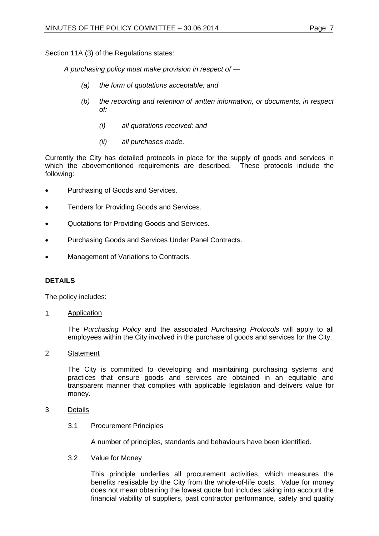Section 11A (3) of the Regulations states:

*A purchasing policy must make provision in respect of —*

- *(a) the form of quotations acceptable; and*
- *(b) the recording and retention of written information, or documents, in respect of:*
	- *(i) all quotations received; and*
	- *(ii) all purchases made.*

Currently the City has detailed protocols in place for the supply of goods and services in which the abovementioned requirements are described. These protocols include the following:

- Purchasing of Goods and Services.
- Tenders for Providing Goods and Services.
- Quotations for Providing Goods and Services.
- Purchasing Goods and Services Under Panel Contracts.
- Management of Variations to Contracts.

# **DETAILS**

The policy includes:

1 Application

The *Purchasing Policy* and the associated *Purchasing Protocols* will apply to all employees within the City involved in the purchase of goods and services for the City.

2 Statement

The City is committed to developing and maintaining purchasing systems and practices that ensure goods and services are obtained in an equitable and transparent manner that complies with applicable legislation and delivers value for money.

- 3 Details
	- 3.1 Procurement Principles

A number of principles, standards and behaviours have been identified.

3.2 Value for Money

This principle underlies all procurement activities, which measures the benefits realisable by the City from the whole-of-life costs. Value for money does not mean obtaining the lowest quote but includes taking into account the financial viability of suppliers, past contractor performance, safety and quality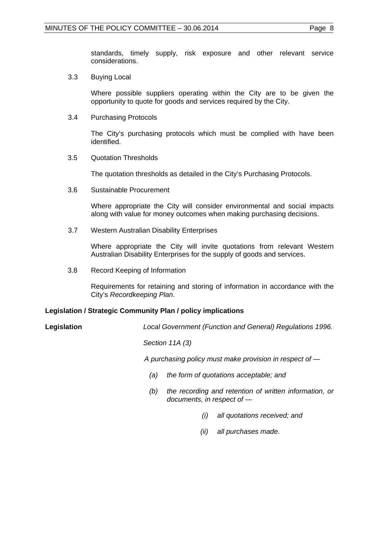standards, timely supply, risk exposure and other relevant service considerations.

3.3 Buying Local

Where possible suppliers operating within the City are to be given the opportunity to quote for goods and services required by the City.

3.4 Purchasing Protocols

The City's purchasing protocols which must be complied with have been identified.

3.5 Quotation Thresholds

The quotation thresholds as detailed in the City's Purchasing Protocols.

3.6 Sustainable Procurement

Where appropriate the City will consider environmental and social impacts along with value for money outcomes when making purchasing decisions.

3.7 Western Australian Disability Enterprises

Where appropriate the City will invite quotations from relevant Western Australian Disability Enterprises for the supply of goods and services.

3.8 Record Keeping of Information

Requirements for retaining and storing of information in accordance with the City's *Recordkeeping Plan*.

# **Legislation / Strategic Community Plan / policy implications**

**Legislation** *Local Government (Function and General) Regulations 1996.*

*Section 11A (3)*

*A purchasing policy must make provision in respect of —*

- *(a) the form of quotations acceptable; and*
- *(b) the recording and retention of written information, or documents, in respect of —*
	- *(i) all quotations received; and*
	- *(ii) all purchases made.*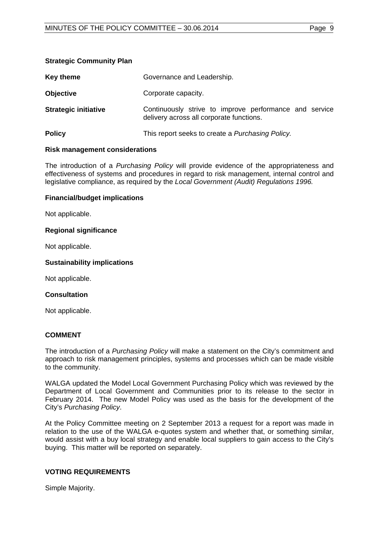# **Strategic Community Plan**

| Key theme                   | Governance and Leadership.                                                                         |
|-----------------------------|----------------------------------------------------------------------------------------------------|
| <b>Objective</b>            | Corporate capacity.                                                                                |
| <b>Strategic initiative</b> | Continuously strive to improve performance and service<br>delivery across all corporate functions. |
| <b>Policy</b>               | This report seeks to create a Purchasing Policy.                                                   |

#### **Risk management considerations**

The introduction of a *Purchasing Policy* will provide evidence of the appropriateness and effectiveness of systems and procedures in regard to risk management, internal control and legislative compliance, as required by the *Local Government (Audit) Regulations 1996.*

#### **Financial/budget implications**

Not applicable.

#### **Regional significance**

Not applicable.

#### **Sustainability implications**

Not applicable.

# **Consultation**

Not applicable.

# **COMMENT**

The introduction of a *Purchasing Policy* will make a statement on the City's commitment and approach to risk management principles, systems and processes which can be made visible to the community.

WALGA updated the Model Local Government Purchasing Policy which was reviewed by the Department of Local Government and Communities prior to its release to the sector in February 2014. The new Model Policy was used as the basis for the development of the City's *Purchasing Policy*.

At the Policy Committee meeting on 2 September 2013 a request for a report was made in relation to the use of the WALGA e-quotes system and whether that, or something similar, would assist with a buy local strategy and enable local suppliers to gain access to the City's buying. This matter will be reported on separately.

# **VOTING REQUIREMENTS**

Simple Majority.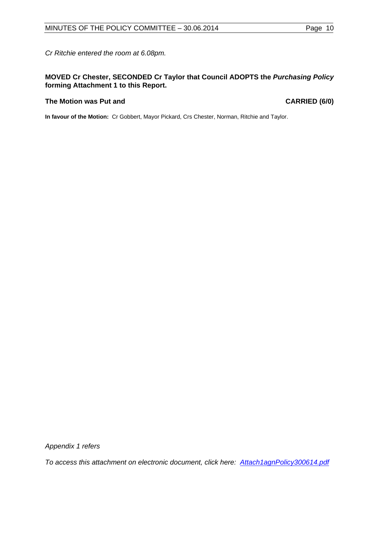*Cr Ritchie entered the room at 6.08pm.*

# **MOVED Cr Chester, SECONDED Cr Taylor that Council ADOPTS the** *Purchasing Policy* **forming Attachment 1 to this Report.**

#### **The Motion was Put and CARRIED (6/0)**

**In favour of the Motion:** Cr Gobbert, Mayor Pickard, Crs Chester, Norman, Ritchie and Taylor.

*Appendix 1 refers*

*To access this attachment on electronic document, click here: [Attach1agnPolicy300614.pdf](http://www.joondalup.wa.gov.au/files/committees/POLI/2014/Attach1agnPolicy300614.pdf)*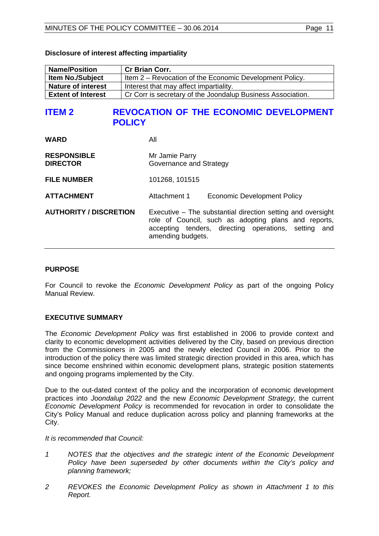# **Disclosure of interest affecting impartiality**

| <b>Name/Position</b>      | <b>Cr Brian Corr.</b>                                       |  |
|---------------------------|-------------------------------------------------------------|--|
| <b>Item No./Subject</b>   | Item 2 – Revocation of the Economic Development Policy.     |  |
| <b>Nature of interest</b> | Interest that may affect impartiality.                      |  |
| <b>Extent of Interest</b> | Cr Corr is secretary of the Joondalup Business Association. |  |

# <span id="page-10-0"></span>**ITEM 2 REVOCATION OF THE ECONOMIC DEVELOPMENT POLICY**

| <b>WARD</b>                           | All                                                                                                                                                                                              |  |
|---------------------------------------|--------------------------------------------------------------------------------------------------------------------------------------------------------------------------------------------------|--|
| <b>RESPONSIBLE</b><br><b>DIRECTOR</b> | Mr Jamie Parry<br>Governance and Strategy                                                                                                                                                        |  |
| <b>FILE NUMBER</b>                    | 101268, 101515                                                                                                                                                                                   |  |
| <b>ATTACHMENT</b>                     | Attachment 1<br><b>Economic Development Policy</b>                                                                                                                                               |  |
| <b>AUTHORITY / DISCRETION</b>         | Executive – The substantial direction setting and oversight<br>role of Council, such as adopting plans and reports,<br>accepting tenders, directing operations, setting and<br>amending budgets. |  |

# **PURPOSE**

For Council to revoke the *Economic Development Policy* as part of the ongoing Policy Manual Review.

# **EXECUTIVE SUMMARY**

The *Economic Development Policy* was first established in 2006 to provide context and clarity to economic development activities delivered by the City, based on previous direction from the Commissioners in 2005 and the newly elected Council in 2006. Prior to the introduction of the policy there was limited strategic direction provided in this area, which has since become enshrined within economic development plans, strategic position statements and ongoing programs implemented by the City.

Due to the out-dated context of the policy and the incorporation of economic development practices into *Joondalup 2022* and the new *Economic Development Strategy*, the current *Economic Development Policy* is recommended for revocation in order to consolidate the City's Policy Manual and reduce duplication across policy and planning frameworks at the City.

#### *It is recommended that Council:*

- *1 NOTES that the objectives and the strategic intent of the Economic Development Policy have been superseded by other documents within the City's policy and planning framework;*
- *2 REVOKES the Economic Development Policy as shown in Attachment 1 to this Report.*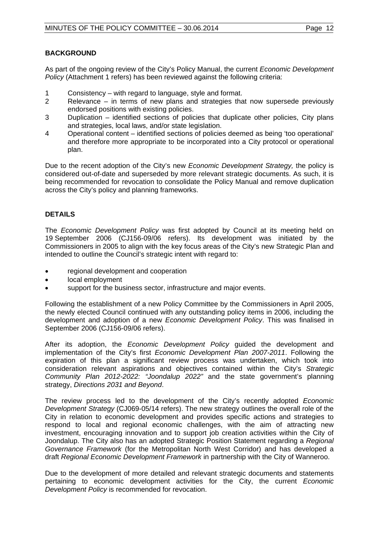As part of the ongoing review of the City's Policy Manual, the current *Economic Development Policy* (Attachment 1 refers) has been reviewed against the following criteria:

- 1 Consistency with regard to language, style and format.<br>2 Relevance in terms of new plans and strategies that
- $Relevance in terms of new plans and strategies that now supersede previously$ endorsed positions with existing policies.
- 3 Duplication identified sections of policies that duplicate other policies, City plans and strategies, local laws, and/or state legislation.
- 4 Operational content identified sections of policies deemed as being 'too operational' and therefore more appropriate to be incorporated into a City protocol or operational plan.

Due to the recent adoption of the City's new *Economic Development Strategy,* the policy is considered out-of-date and superseded by more relevant strategic documents. As such, it is being recommended for revocation to consolidate the Policy Manual and remove duplication across the City's policy and planning frameworks.

# **DETAILS**

The *Economic Development Policy* was first adopted by Council at its meeting held on 19 September 2006 (CJ156-09/06 refers). Its development was initiated by the Commissioners in 2005 to align with the key focus areas of the City's new Strategic Plan and intended to outline the Council's strategic intent with regard to:

- regional development and cooperation
- local employment
- support for the business sector, infrastructure and major events.

Following the establishment of a new Policy Committee by the Commissioners in April 2005, the newly elected Council continued with any outstanding policy items in 2006, including the development and adoption of a new *Economic Development Policy*. This was finalised in September 2006 (CJ156-09/06 refers).

After its adoption, the *Economic Development Policy* guided the development and implementation of the City's first *Economic Development Plan 2007-2011*. Following the expiration of this plan a significant review process was undertaken, which took into consideration relevant aspirations and objectives contained within the City's *Strategic Community Plan 2012-2022: "Joondalup 2022"* and the state government's planning strategy, *Directions 2031 and Beyond*.

The review process led to the development of the City's recently adopted *Economic Development Strategy* (CJ069-05/14 refers). The new strategy outlines the overall role of the City in relation to economic development and provides specific actions and strategies to respond to local and regional economic challenges, with the aim of attracting new investment, encouraging innovation and to support job creation activities within the City of Joondalup. The City also has an adopted Strategic Position Statement regarding a *Regional Governance Framework* (for the Metropolitan North West Corridor) and has developed a draft *Regional Economic Development Framework* in partnership with the City of Wanneroo.

Due to the development of more detailed and relevant strategic documents and statements pertaining to economic development activities for the City, the current *Economic Development Policy* is recommended for revocation.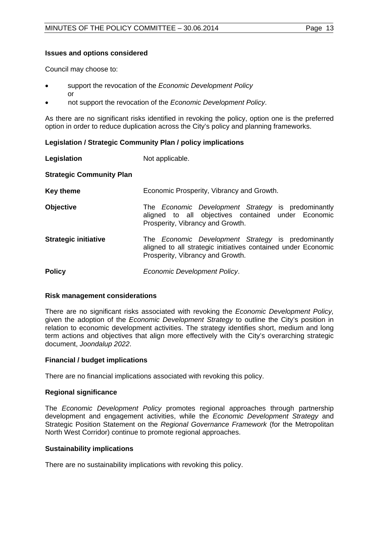# **Issues and options considered**

Council may choose to:

- support the revocation of the *Economic Development Policy* or
- not support the revocation of the *Economic Development Policy*.

As there are no significant risks identified in revoking the policy, option one is the preferred option in order to reduce duplication across the City's policy and planning frameworks.

# **Legislation / Strategic Community Plan / policy implications**

| Legislation                     | Not applicable.                                                                                                                                                |  |
|---------------------------------|----------------------------------------------------------------------------------------------------------------------------------------------------------------|--|
| <b>Strategic Community Plan</b> |                                                                                                                                                                |  |
| <b>Key theme</b>                | Economic Prosperity, Vibrancy and Growth.                                                                                                                      |  |
| <b>Objective</b>                | The <i>Economic Development Strategy</i> is predominantly<br>aligned to all objectives contained under Economic<br>Prosperity, Vibrancy and Growth.            |  |
| <b>Strategic initiative</b>     | The <i>Economic Development Strategy</i> is predominantly<br>aligned to all strategic initiatives contained under Economic<br>Prosperity, Vibrancy and Growth. |  |
| <b>Policy</b>                   | Economic Development Policy.                                                                                                                                   |  |

#### **Risk management considerations**

There are no significant risks associated with revoking the *Economic Development Policy,* given the adoption of the *Economic Development Strategy* to outline the City's position in relation to economic development activities. The strategy identifies short, medium and long term actions and objectives that align more effectively with the City's overarching strategic document, *Joondalup 2022*.

#### **Financial / budget implications**

There are no financial implications associated with revoking this policy.

#### **Regional significance**

The *Economic Development Policy* promotes regional approaches through partnership development and engagement activities, while the *Economic Development Strategy* and Strategic Position Statement on the *Regional Governance Framework* (for the Metropolitan North West Corridor) continue to promote regional approaches.

#### **Sustainability implications**

There are no sustainability implications with revoking this policy.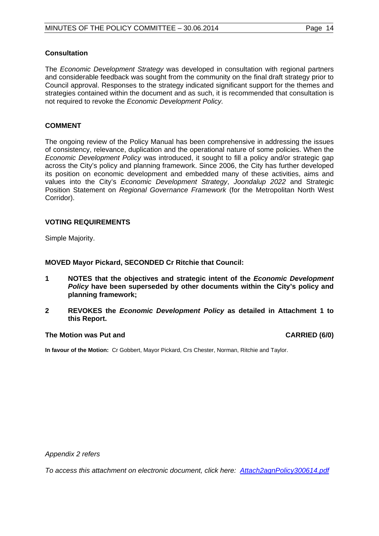#### **Consultation**

The *Economic Development Strategy* was developed in consultation with regional partners and considerable feedback was sought from the community on the final draft strategy prior to Council approval. Responses to the strategy indicated significant support for the themes and strategies contained within the document and as such, it is recommended that consultation is not required to revoke the *Economic Development Policy.*

#### **COMMENT**

The ongoing review of the Policy Manual has been comprehensive in addressing the issues of consistency, relevance, duplication and the operational nature of some policies. When the *Economic Development Policy* was introduced, it sought to fill a policy and/or strategic gap across the City's policy and planning framework. Since 2006, the City has further developed its position on economic development and embedded many of these activities, aims and values into the City's *Economic Development Strategy*, *Joondalup 2022* and Strategic Position Statement on *Regional Governance Framework* (for the Metropolitan North West Corridor).

#### **VOTING REQUIREMENTS**

Simple Majority.

**MOVED Mayor Pickard, SECONDED Cr Ritchie that Council:**

- **1 NOTES that the objectives and strategic intent of the** *Economic Development Policy* **have been superseded by other documents within the City's policy and planning framework;**
- **2 REVOKES the** *Economic Development Policy* **as detailed in Attachment 1 to this Report.**

#### **The Motion was Put and CARRIED (6/0)**

**In favour of the Motion:** Cr Gobbert, Mayor Pickard, Crs Chester, Norman, Ritchie and Taylor.

*Appendix 2 refers*

*To access this attachment on electronic document, click here: [Attach2agnPolicy300614.pdf](http://www.joondalup.wa.gov.au/files/committees/POLI/2014/Attach2agnPolicy300614.pdf)*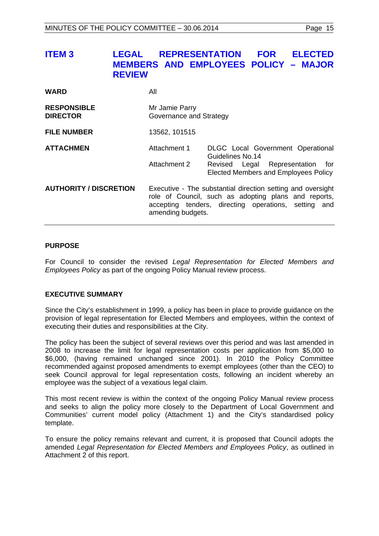# <span id="page-14-0"></span>**ITEM 3 LEGAL REPRESENTATION FOR ELECTED MEMBERS AND EMPLOYEES POLICY – MAJOR REVIEW**

| <b>WARD</b>                           | All                                                                                                                                                                                              |                                                                                                                                               |
|---------------------------------------|--------------------------------------------------------------------------------------------------------------------------------------------------------------------------------------------------|-----------------------------------------------------------------------------------------------------------------------------------------------|
| <b>RESPONSIBLE</b><br><b>DIRECTOR</b> | Mr Jamie Parry<br>Governance and Strategy                                                                                                                                                        |                                                                                                                                               |
| <b>FILE NUMBER</b>                    | 13562, 101515                                                                                                                                                                                    |                                                                                                                                               |
| <b>ATTACHMEN</b>                      | Attachment 1<br>Attachment 2                                                                                                                                                                     | <b>DLGC</b> Local Government Operational<br>Guidelines No.14<br>Revised Legal Representation<br>for f<br>Elected Members and Employees Policy |
| <b>AUTHORITY / DISCRETION</b>         | Executive - The substantial direction setting and oversight<br>role of Council, such as adopting plans and reports,<br>accepting tenders, directing operations, setting and<br>amending budgets. |                                                                                                                                               |

#### **PURPOSE**

For Council to consider the revised *Legal Representation for Elected Members and Employees Policy* as part of the ongoing Policy Manual review process.

# **EXECUTIVE SUMMARY**

Since the City's establishment in 1999, a policy has been in place to provide guidance on the provision of legal representation for Elected Members and employees, within the context of executing their duties and responsibilities at the City.

The policy has been the subject of several reviews over this period and was last amended in 2008 to increase the limit for legal representation costs per application from \$5,000 to \$6,000, (having remained unchanged since 2001). In 2010 the Policy Committee recommended against proposed amendments to exempt employees (other than the CEO) to seek Council approval for legal representation costs, following an incident whereby an employee was the subject of a vexatious legal claim.

This most recent review is within the context of the ongoing Policy Manual review process and seeks to align the policy more closely to the Department of Local Government and Communities' current model policy (Attachment 1) and the City's standardised policy template.

To ensure the policy remains relevant and current, it is proposed that Council adopts the amended *Legal Representation for Elected Members and Employees Policy*, as outlined in Attachment 2 of this report.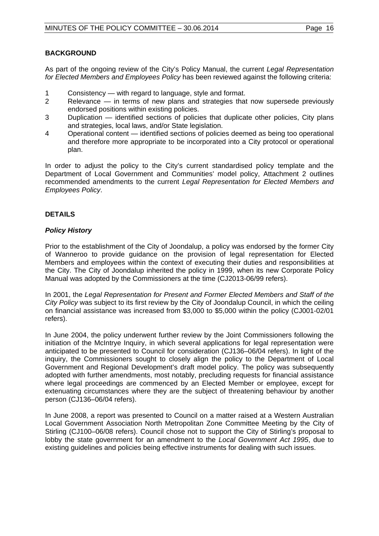As part of the ongoing review of the City's Policy Manual, the current *Legal Representation for Elected Members and Employees Policy* has been reviewed against the following criteria:

- 1 Consistency with regard to language, style and format.<br>2 Relevance in terms of new plans and strategies that
- Relevance in terms of new plans and strategies that now supersede previously endorsed positions within existing policies.
- 3 Duplication identified sections of policies that duplicate other policies, City plans and strategies, local laws, and/or State legislation.
- 4 Operational content identified sections of policies deemed as being too operational and therefore more appropriate to be incorporated into a City protocol or operational plan.

In order to adjust the policy to the City's current standardised policy template and the Department of Local Government and Communities' model policy, Attachment 2 outlines recommended amendments to the current *Legal Representation for Elected Members and Employees Policy*.

# **DETAILS**

# *Policy History*

Prior to the establishment of the City of Joondalup, a policy was endorsed by the former City of Wanneroo to provide guidance on the provision of legal representation for Elected Members and employees within the context of executing their duties and responsibilities at the City. The City of Joondalup inherited the policy in 1999, when its new Corporate Policy Manual was adopted by the Commissioners at the time (CJ2013-06/99 refers).

In 2001, the *Legal Representation for Present and Former Elected Members and Staff of the City Policy* was subject to its first review by the City of Joondalup Council, in which the ceiling on financial assistance was increased from \$3,000 to \$5,000 within the policy (CJ001-02/01 refers).

In June 2004, the policy underwent further review by the Joint Commissioners following the initiation of the McIntrye Inquiry, in which several applications for legal representation were anticipated to be presented to Council for consideration (CJ136–06/04 refers). In light of the inquiry, the Commissioners sought to closely align the policy to the Department of Local Government and Regional Development's draft model policy. The policy was subsequently adopted with further amendments, most notably, precluding requests for financial assistance where legal proceedings are commenced by an Elected Member or employee, except for extenuating circumstances where they are the subject of threatening behaviour by another person (CJ136–06/04 refers).

In June 2008, a report was presented to Council on a matter raised at a Western Australian Local Government Association North Metropolitan Zone Committee Meeting by the City of Stirling (CJ100–06/08 refers). Council chose not to support the City of Stirling's proposal to lobby the state government for an amendment to the *Local Government Act 1995*, due to existing guidelines and policies being effective instruments for dealing with such issues.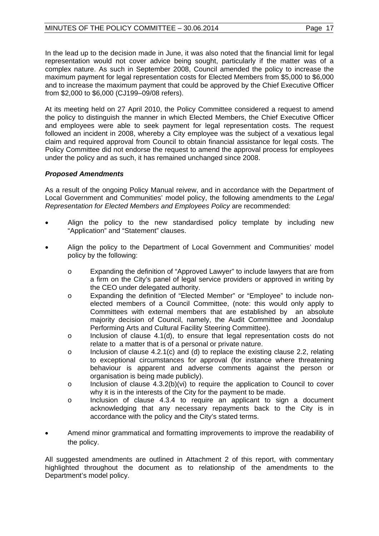In the lead up to the decision made in June, it was also noted that the financial limit for legal representation would not cover advice being sought, particularly if the matter was of a complex nature. As such in September 2008, Council amended the policy to increase the maximum payment for legal representation costs for Elected Members from \$5,000 to \$6,000 and to increase the maximum payment that could be approved by the Chief Executive Officer from \$2,000 to \$6,000 (CJ199–09/08 refers).

At its meeting held on 27 April 2010, the Policy Committee considered a request to amend the policy to distinguish the manner in which Elected Members, the Chief Executive Officer and employees were able to seek payment for legal representation costs. The request followed an incident in 2008, whereby a City employee was the subject of a vexatious legal claim and required approval from Council to obtain financial assistance for legal costs. The Policy Committee did not endorse the request to amend the approval process for employees under the policy and as such, it has remained unchanged since 2008.

# *Proposed Amendments*

As a result of the ongoing Policy Manual reivew, and in accordance with the Department of Local Government and Communities' model policy, the following amendments to the *Legal Representation for Elected Members and Employees Policy* are recommended:

- Align the policy to the new standardised policy template by including new "Application" and "Statement" clauses.
- Align the policy to the Department of Local Government and Communities' model policy by the following:
	- o Expanding the definition of "Approved Lawyer" to include lawyers that are from a firm on the City's panel of legal service providers or approved in writing by the CEO under delegated authority.
	- o Expanding the definition of "Elected Member" or "Employee" to include nonelected members of a Council Committee, (note: this would only apply to Committees with external members that are established by an absolute majority decision of Council, namely, the Audit Committee and Joondalup Performing Arts and Cultural Facility Steering Committee).
	- $\circ$  Inclusion of clause 4.1(d), to ensure that legal representation costs do not relate to a matter that is of a personal or private nature.
	- o Inclusion of clause 4.2.1(c) and (d) to replace the existing clause 2.2, relating to exceptional circumstances for approval (for instance where threatening behaviour is apparent and adverse comments against the person or organisation is being made publicly).
	- $\circ$  Inclusion of clause 4.3.2(b)(vi) to require the application to Council to cover why it is in the interests of the City for the payment to be made.
	- o Inclusion of clause 4.3.4 to require an applicant to sign a document acknowledging that any necessary repayments back to the City is in accordance with the policy and the City's stated terms.
- Amend minor grammatical and formatting improvements to improve the readability of the policy.

All suggested amendments are outlined in Attachment 2 of this report, with commentary highlighted throughout the document as to relationship of the amendments to the Department's model policy.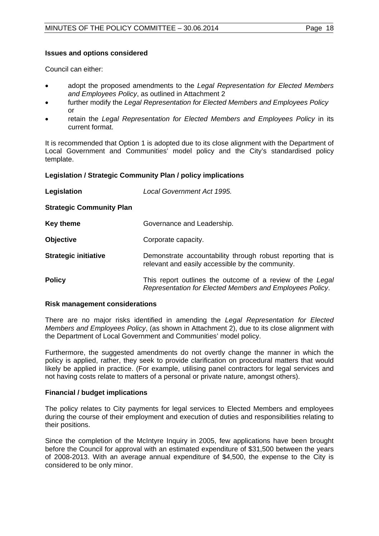# **Issues and options considered**

Council can either:

- adopt the proposed amendments to the *Legal Representation for Elected Members and Employees Policy*, as outlined in Attachment 2
- further modify the *Legal Representation for Elected Members and Employees Policy* or
- retain the *Legal Representation for Elected Members and Employees Policy* in its current format.

It is recommended that Option 1 is adopted due to its close alignment with the Department of Local Government and Communities' model policy and the City's standardised policy template.

#### **Legislation / Strategic Community Plan / policy implications**

| Legislation                     | Local Government Act 1995.                                                                                            |  |
|---------------------------------|-----------------------------------------------------------------------------------------------------------------------|--|
| <b>Strategic Community Plan</b> |                                                                                                                       |  |
| Key theme                       | Governance and Leadership.                                                                                            |  |
| <b>Objective</b>                | Corporate capacity.                                                                                                   |  |
| <b>Strategic initiative</b>     | Demonstrate accountability through robust reporting that is<br>relevant and easily accessible by the community.       |  |
| <b>Policy</b>                   | This report outlines the outcome of a review of the Legal<br>Representation for Elected Members and Employees Policy. |  |

#### **Risk management considerations**

There are no major risks identified in amending the *Legal Representation for Elected Members and Employees Policy*, (as shown in Attachment 2), due to its close alignment with the Department of Local Government and Communities' model policy.

Furthermore, the suggested amendments do not overtly change the manner in which the policy is applied, rather, they seek to provide clarification on procedural matters that would likely be applied in practice. (For example, utilising panel contractors for legal services and not having costs relate to matters of a personal or private nature, amongst others).

#### **Financial / budget implications**

The policy relates to City payments for legal services to Elected Members and employees during the course of their employment and execution of duties and responsibilities relating to their positions.

Since the completion of the McIntyre Inquiry in 2005, few applications have been brought before the Council for approval with an estimated expenditure of \$31,500 between the years of 2008-2013. With an average annual expenditure of \$4,500, the expense to the City is considered to be only minor.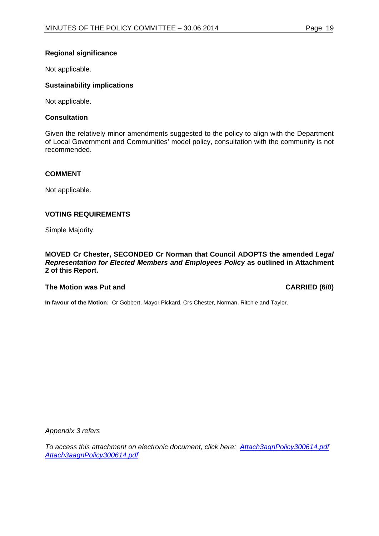# **Regional significance**

Not applicable.

# **Sustainability implications**

Not applicable.

# **Consultation**

Given the relatively minor amendments suggested to the policy to align with the Department of Local Government and Communities' model policy, consultation with the community is not recommended.

# **COMMENT**

Not applicable.

# **VOTING REQUIREMENTS**

Simple Majority.

**MOVED Cr Chester, SECONDED Cr Norman that Council ADOPTS the amended** *Legal Representation for Elected Members and Employees Policy* **as outlined in Attachment 2 of this Report.**

# **The Motion was Put and CARRIED (6/0)**

**In favour of the Motion:** Cr Gobbert, Mayor Pickard, Crs Chester, Norman, Ritchie and Taylor.

*Appendix 3 refers*

*To access this attachment on electronic document, click here: [Attach3agnPolicy300614.pdf](http://www.joondalup.wa.gov.au/files/committees/POLI/2014/Attach3agnPolicy300614.pdf) [Attach3aagnPolicy300614.pdf](http://www.joondalup.wa.gov.au/files/committees/POLI/2014/Attach3aagnPolicy300614.pdf)*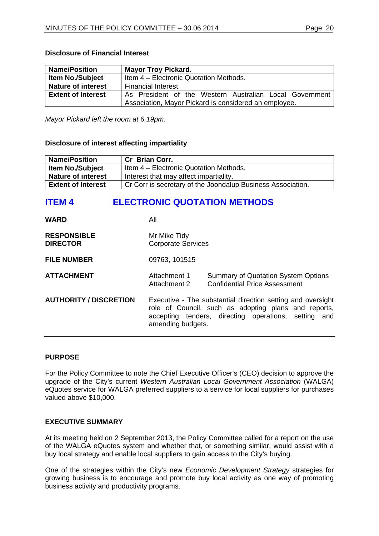# **Disclosure of Financial Interest**

| <b>Name/Position</b>      | <b>Mayor Troy Pickard.</b>                              |  |
|---------------------------|---------------------------------------------------------|--|
| <b>Item No./Subject</b>   | Item 4 – Electronic Quotation Methods.                  |  |
| <b>Nature of interest</b> | Financial Interest.                                     |  |
| <b>Extent of Interest</b> | As President of the Western Australian Local Government |  |
|                           | Association, Mayor Pickard is considered an employee.   |  |

*Mayor Pickard left the room at 6.19pm.*

# **Disclosure of interest affecting impartiality**

| <b>Name/Position</b>      | Cr Brian Corr.                                              |
|---------------------------|-------------------------------------------------------------|
| <b>Item No./Subject</b>   | Item 4 – Electronic Quotation Methods.                      |
| <b>Nature of interest</b> | Interest that may affect impartiality.                      |
| <b>Extent of Interest</b> | Cr Corr is secretary of the Joondalup Business Association. |

# <span id="page-19-0"></span>**ITEM 4 ELECTRONIC QUOTATION METHODS**

| <b>WARD</b>                           | All                                                                                                                                                                                              |                                                                                    |
|---------------------------------------|--------------------------------------------------------------------------------------------------------------------------------------------------------------------------------------------------|------------------------------------------------------------------------------------|
| <b>RESPONSIBLE</b><br><b>DIRECTOR</b> | Mr Mike Tidy<br><b>Corporate Services</b>                                                                                                                                                        |                                                                                    |
| <b>FILE NUMBER</b>                    | 09763, 101515                                                                                                                                                                                    |                                                                                    |
| <b>ATTACHMENT</b>                     | Attachment 1<br>Attachment 2                                                                                                                                                                     | <b>Summary of Quotation System Options</b><br><b>Confidential Price Assessment</b> |
| <b>AUTHORITY / DISCRETION</b>         | Executive - The substantial direction setting and oversight<br>role of Council, such as adopting plans and reports,<br>accepting tenders, directing operations, setting and<br>amending budgets. |                                                                                    |

# **PURPOSE**

For the Policy Committee to note the Chief Executive Officer's (CEO) decision to approve the upgrade of the City's current *Western Australian Local Government Association* (WALGA) eQuotes service for WALGA preferred suppliers to a service for local suppliers for purchases valued above \$10,000.

# **EXECUTIVE SUMMARY**

At its meeting held on 2 September 2013, the Policy Committee called for a report on the use of the WALGA eQuotes system and whether that, or something similar, would assist with a buy local strategy and enable local suppliers to gain access to the City's buying.

One of the strategies within the City's new *Economic Development Strategy* strategies for growing business is to encourage and promote buy local activity as one way of promoting business activity and productivity programs.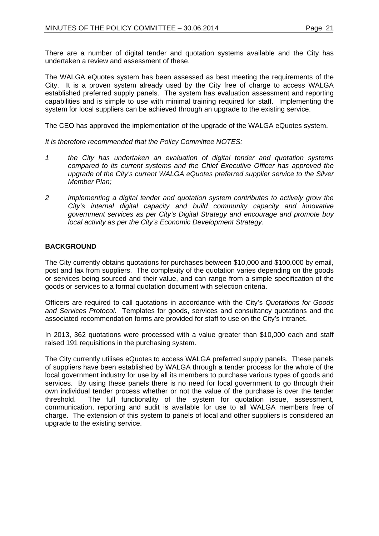There are a number of digital tender and quotation systems available and the City has undertaken a review and assessment of these.

The WALGA eQuotes system has been assessed as best meeting the requirements of the City. It is a proven system already used by the City free of charge to access WALGA established preferred supply panels. The system has evaluation assessment and reporting capabilities and is simple to use with minimal training required for staff. Implementing the system for local suppliers can be achieved through an upgrade to the existing service.

The CEO has approved the implementation of the upgrade of the WALGA eQuotes system.

*It is therefore recommended that the Policy Committee NOTES:*

- *1 the City has undertaken an evaluation of digital tender and quotation systems compared to its current systems and the Chief Executive Officer has approved the upgrade of the City's current WALGA eQuotes preferred supplier service to the Silver Member Plan;*
- *2 implementing a digital tender and quotation system contributes to actively grow the City's internal digital capacity and build community capacity and innovative government services as per City's Digital Strategy and encourage and promote buy local activity as per the City's Economic Development Strategy.*

# **BACKGROUND**

The City currently obtains quotations for purchases between \$10,000 and \$100,000 by email, post and fax from suppliers. The complexity of the quotation varies depending on the goods or services being sourced and their value, and can range from a simple specification of the goods or services to a formal quotation document with selection criteria.

Officers are required to call quotations in accordance with the City's *Quotations for Goods and Services Protocol*. Templates for goods, services and consultancy quotations and the associated recommendation forms are provided for staff to use on the City's intranet.

In 2013, 362 quotations were processed with a value greater than \$10,000 each and staff raised 191 requisitions in the purchasing system.

The City currently utilises eQuotes to access WALGA preferred supply panels. These panels of suppliers have been established by WALGA through a tender process for the whole of the local government industry for use by all its members to purchase various types of goods and services. By using these panels there is no need for local government to go through their own individual tender process whether or not the value of the purchase is over the tender threshold. The full functionality of the system for quotation issue, assessment, communication, reporting and audit is available for use to all WALGA members free of charge. The extension of this system to panels of local and other suppliers is considered an upgrade to the existing service.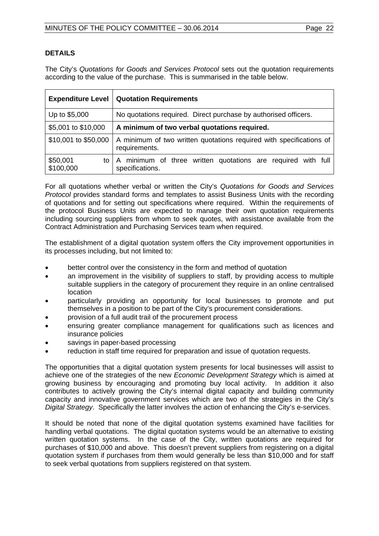# **DETAILS**

The City's *Quotations for Goods and Services Protocol* sets out the quotation requirements according to the value of the purchase. This is summarised in the table below.

| <b>Expenditure Level</b>    | <b>Quotation Requirements</b>                                                        |  |
|-----------------------------|--------------------------------------------------------------------------------------|--|
| Up to \$5,000               | No quotations required. Direct purchase by authorised officers.                      |  |
| \$5,001 to \$10,000         | A minimum of two verbal quotations required.                                         |  |
| \$10,001 to \$50,000        | A minimum of two written quotations required with specifications of<br>requirements. |  |
| \$50,001<br>to<br>\$100,000 | A minimum of three written quotations are required with full<br>specifications.      |  |

For all quotations whether verbal or written the City's *Quotations for Goods and Services Protocol* provides standard forms and templates to assist Business Units with the recording of quotations and for setting out specifications where required. Within the requirements of the protocol Business Units are expected to manage their own quotation requirements including sourcing suppliers from whom to seek quotes, with assistance available from the Contract Administration and Purchasing Services team when required.

The establishment of a digital quotation system offers the City improvement opportunities in its processes including, but not limited to:

- better control over the consistency in the form and method of quotation
- an improvement in the visibility of suppliers to staff, by providing access to multiple suitable suppliers in the category of procurement they require in an online centralised location
- particularly providing an opportunity for local businesses to promote and put themselves in a position to be part of the City's procurement considerations.
- provision of a full audit trail of the procurement process
- ensuring greater compliance management for qualifications such as licences and insurance policies
- savings in paper-based processing
- reduction in staff time required for preparation and issue of quotation requests.

The opportunities that a digital quotation system presents for local businesses will assist to achieve one of the strategies of the new *Economic Development Strategy* which is aimed at growing business by encouraging and promoting buy local activity. In addition it also contributes to actively growing the City's internal digital capacity and building community capacity and innovative government services which are two of the strategies in the City's *Digital Strategy*. Specifically the latter involves the action of enhancing the City's e-services.

It should be noted that none of the digital quotation systems examined have facilities for handling verbal quotations. The digital quotation systems would be an alternative to existing written quotation systems. In the case of the City, written quotations are required for purchases of \$10,000 and above. This doesn't prevent suppliers from registering on a digital quotation system if purchases from them would generally be less than \$10,000 and for staff to seek verbal quotations from suppliers registered on that system.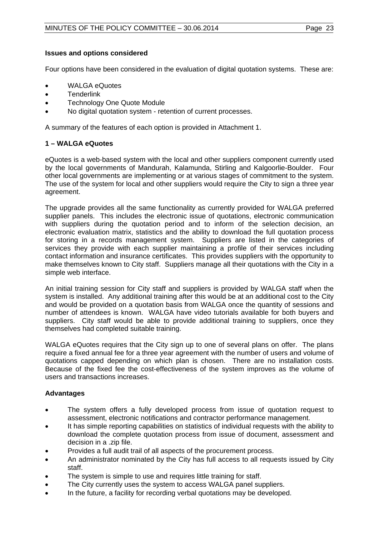# **Issues and options considered**

Four options have been considered in the evaluation of digital quotation systems. These are:

- WALGA eQuotes
- **Tenderlink**
- Technology One Quote Module
- No digital quotation system retention of current processes.

A summary of the features of each option is provided in Attachment 1.

# **1 – WALGA eQuotes**

eQuotes is a web-based system with the local and other suppliers component currently used by the local governments of Mandurah, Kalamunda, Stirling and Kalgoorlie-Boulder. Four other local governments are implementing or at various stages of commitment to the system. The use of the system for local and other suppliers would require the City to sign a three year agreement.

The upgrade provides all the same functionality as currently provided for WALGA preferred supplier panels. This includes the electronic issue of quotations, electronic communication with suppliers during the quotation period and to inform of the selection decision, an electronic evaluation matrix, statistics and the ability to download the full quotation process for storing in a records management system. Suppliers are listed in the categories of services they provide with each supplier maintaining a profile of their services including contact information and insurance certificates. This provides suppliers with the opportunity to make themselves known to City staff. Suppliers manage all their quotations with the City in a simple web interface.

An initial training session for City staff and suppliers is provided by WALGA staff when the system is installed. Any additional training after this would be at an additional cost to the City and would be provided on a quotation basis from WALGA once the quantity of sessions and number of attendees is known. WALGA have video tutorials available for both buyers and suppliers. City staff would be able to provide additional training to suppliers, once they themselves had completed suitable training.

WALGA eQuotes requires that the City sign up to one of several plans on offer. The plans require a fixed annual fee for a three year agreement with the number of users and volume of quotations capped depending on which plan is chosen. There are no installation costs. Because of the fixed fee the cost-effectiveness of the system improves as the volume of users and transactions increases.

# **Advantages**

- The system offers a fully developed process from issue of quotation request to assessment, electronic notifications and contractor performance management.
- It has simple reporting capabilities on statistics of individual requests with the ability to download the complete quotation process from issue of document, assessment and decision in a .zip file.
- Provides a full audit trail of all aspects of the procurement process.
- An administrator nominated by the City has full access to all requests issued by City staff.
- The system is simple to use and requires little training for staff.
- The City currently uses the system to access WALGA panel suppliers.
- In the future, a facility for recording verbal quotations may be developed.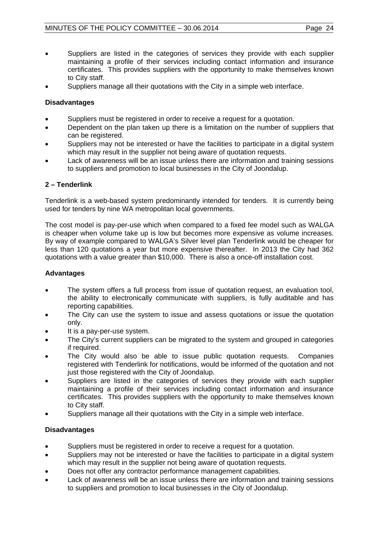- Suppliers are listed in the categories of services they provide with each supplier maintaining a profile of their services including contact information and insurance certificates. This provides suppliers with the opportunity to make themselves known to City staff.
- Suppliers manage all their quotations with the City in a simple web interface.

# **Disadvantages**

- Suppliers must be registered in order to receive a request for a quotation.
- Dependent on the plan taken up there is a limitation on the number of suppliers that can be registered.
- Suppliers may not be interested or have the facilities to participate in a digital system which may result in the supplier not being aware of quotation requests.
- Lack of awareness will be an issue unless there are information and training sessions to suppliers and promotion to local businesses in the City of Joondalup.

# **2 – Tenderlink**

Tenderlink is a web-based system predominantly intended for tenders. It is currently being used for tenders by nine WA metropolitan local governments.

The cost model is pay-per-use which when compared to a fixed fee model such as WALGA is cheaper when volume take up is low but becomes more expensive as volume increases. By way of example compared to WALGA's Silver level plan Tenderlink would be cheaper for less than 120 quotations a year but more expensive thereafter. In 2013 the City had 362 quotations with a value greater than \$10,000. There is also a once-off installation cost.

# **Advantages**

- The system offers a full process from issue of quotation request, an evaluation tool, the ability to electronically communicate with suppliers, is fully auditable and has reporting capabilities.
- The City can use the system to issue and assess quotations or issue the quotation only.
- It is a pay-per-use system.
- The City's current suppliers can be migrated to the system and grouped in categories if required.
- The City would also be able to issue public quotation requests. Companies registered with Tenderlink for notifications, would be informed of the quotation and not just those registered with the City of Joondalup.
- Suppliers are listed in the categories of services they provide with each supplier maintaining a profile of their services including contact information and insurance certificates. This provides suppliers with the opportunity to make themselves known to City staff.
- Suppliers manage all their quotations with the City in a simple web interface.

# **Disadvantages**

- Suppliers must be registered in order to receive a request for a quotation.
- Suppliers may not be interested or have the facilities to participate in a digital system which may result in the supplier not being aware of quotation requests.
- Does not offer any contractor performance management capabilities.
- Lack of awareness will be an issue unless there are information and training sessions to suppliers and promotion to local businesses in the City of Joondalup.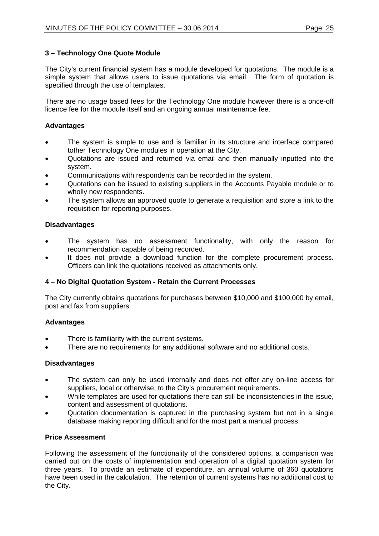# **3 – Technology One Quote Module**

The City's current financial system has a module developed for quotations. The module is a simple system that allows users to issue quotations via email. The form of quotation is specified through the use of templates.

There are no usage based fees for the Technology One module however there is a once-off licence fee for the module itself and an ongoing annual maintenance fee.

# **Advantages**

- The system is simple to use and is familiar in its structure and interface compared tother Technology One modules in operation at the City.
- Quotations are issued and returned via email and then manually inputted into the system.
- Communications with respondents can be recorded in the system.
- Quotations can be issued to existing suppliers in the Accounts Payable module or to wholly new respondents.
- The system allows an approved quote to generate a requisition and store a link to the requisition for reporting purposes.

# **Disadvantages**

- The system has no assessment functionality, with only the reason for recommendation capable of being recorded.
- It does not provide a download function for the complete procurement process. Officers can link the quotations received as attachments only.

# **4 – No Digital Quotation System - Retain the Current Processes**

The City currently obtains quotations for purchases between \$10,000 and \$100,000 by email, post and fax from suppliers.

# **Advantages**

- There is familiarity with the current systems.
- There are no requirements for any additional software and no additional costs.

# **Disadvantages**

- The system can only be used internally and does not offer any on-line access for suppliers, local or otherwise, to the City's procurement requirements.
- While templates are used for quotations there can still be inconsistencies in the issue, content and assessment of quotations.
- Quotation documentation is captured in the purchasing system but not in a single database making reporting difficult and for the most part a manual process.

# **Price Assessment**

Following the assessment of the functionality of the considered options, a comparison was carried out on the costs of implementation and operation of a digital quotation system for three years. To provide an estimate of expenditure, an annual volume of 360 quotations have been used in the calculation. The retention of current systems has no additional cost to the City.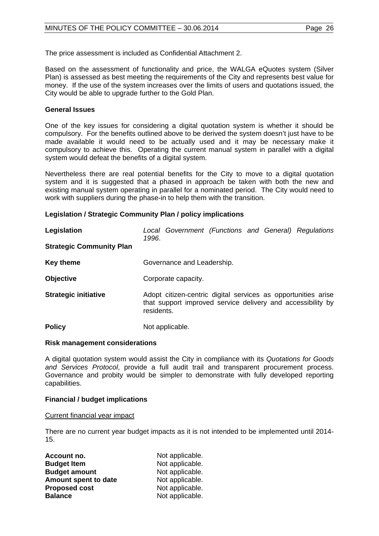The price assessment is included as Confidential Attachment 2.

Based on the assessment of functionality and price, the WALGA eQuotes system (Silver Plan) is assessed as best meeting the requirements of the City and represents best value for money. If the use of the system increases over the limits of users and quotations issued, the City would be able to upgrade further to the Gold Plan.

# **General Issues**

One of the key issues for considering a digital quotation system is whether it should be compulsory. For the benefits outlined above to be derived the system doesn't just have to be made available it would need to be actually used and it may be necessary make it compulsory to achieve this. Operating the current manual system in parallel with a digital system would defeat the benefits of a digital system.

Nevertheless there are real potential benefits for the City to move to a digital quotation system and it is suggested that a phased in approach be taken with both the new and existing manual system operating in parallel for a nominated period. The City would need to work with suppliers during the phase-in to help them with the transition.

# **Legislation / Strategic Community Plan / policy implications**

| Legislation                     | Local Government (Functions and General) Regulations<br>1996.                                                                              |  |
|---------------------------------|--------------------------------------------------------------------------------------------------------------------------------------------|--|
| <b>Strategic Community Plan</b> |                                                                                                                                            |  |
| <b>Key theme</b>                | Governance and Leadership.                                                                                                                 |  |
| <b>Objective</b>                | Corporate capacity.                                                                                                                        |  |
| <b>Strategic initiative</b>     | Adopt citizen-centric digital services as opportunities arise<br>that support improved service delivery and accessibility by<br>residents. |  |
| <b>Policy</b>                   | Not applicable.                                                                                                                            |  |

# **Risk management considerations**

A digital quotation system would assist the City in compliance with its *Quotations for Goods and Services Protocol*, provide a full audit trail and transparent procurement process. Governance and probity would be simpler to demonstrate with fully developed reporting capabilities.

# **Financial / budget implications**

# Current financial year impact

There are no current year budget impacts as it is not intended to be implemented until 2014- 15.

| Account no.          | Not applicable. |
|----------------------|-----------------|
| <b>Budget Item</b>   | Not applicable. |
| <b>Budget amount</b> | Not applicable. |
| Amount spent to date | Not applicable. |
| <b>Proposed cost</b> | Not applicable. |
| <b>Balance</b>       | Not applicable. |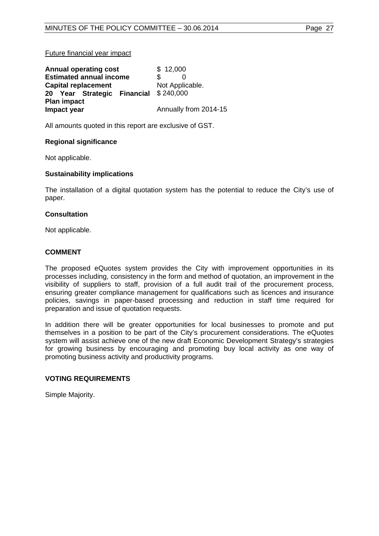#### Future financial year impact

| <b>Annual operating cost</b>          | \$12,000              |
|---------------------------------------|-----------------------|
| <b>Estimated annual income</b>        | \$.                   |
| <b>Capital replacement</b>            | Not Applicable.       |
| 20 Year Strategic Financial \$240,000 |                       |
| <b>Plan impact</b>                    |                       |
| Impact year                           | Annually from 2014-15 |

All amounts quoted in this report are exclusive of GST.

#### **Regional significance**

Not applicable.

#### **Sustainability implications**

The installation of a digital quotation system has the potential to reduce the City's use of paper.

#### **Consultation**

Not applicable.

# **COMMENT**

The proposed eQuotes system provides the City with improvement opportunities in its processes including, consistency in the form and method of quotation, an improvement in the visibility of suppliers to staff, provision of a full audit trail of the procurement process, ensuring greater compliance management for qualifications such as licences and insurance policies, savings in paper-based processing and reduction in staff time required for preparation and issue of quotation requests.

In addition there will be greater opportunities for local businesses to promote and put themselves in a position to be part of the City's procurement considerations. The eQuotes system will assist achieve one of the new draft Economic Development Strategy's strategies for growing business by encouraging and promoting buy local activity as one way of promoting business activity and productivity programs.

# **VOTING REQUIREMENTS**

Simple Majority.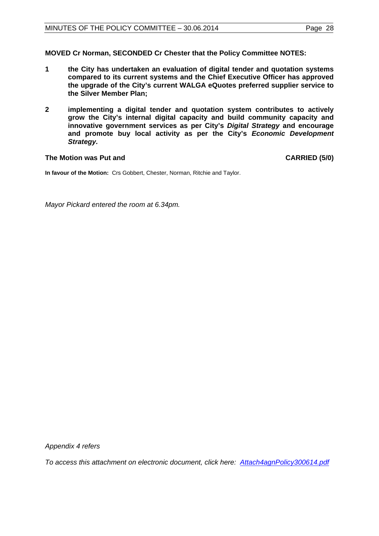**MOVED Cr Norman, SECONDED Cr Chester that the Policy Committee NOTES:**

- **1 the City has undertaken an evaluation of digital tender and quotation systems compared to its current systems and the Chief Executive Officer has approved the upgrade of the City's current WALGA eQuotes preferred supplier service to the Silver Member Plan;**
- **2 implementing a digital tender and quotation system contributes to actively grow the City's internal digital capacity and build community capacity and innovative government services as per City's** *Digital Strategy* **and encourage and promote buy local activity as per the City's** *Economic Development Strategy.*

#### **The Motion was Put and CARRIED (5/0)**

**In favour of the Motion:** Crs Gobbert, Chester, Norman, Ritchie and Taylor.

*Mayor Pickard entered the room at 6.34pm.*

*Appendix 4 refers*

*To access this attachment on electronic document, click here: [Attach4agnPolicy300614.pdf](http://www.joondalup.wa.gov.au/files/committees/POLI/2014/Attach4agnPolicy300614.pdf)*